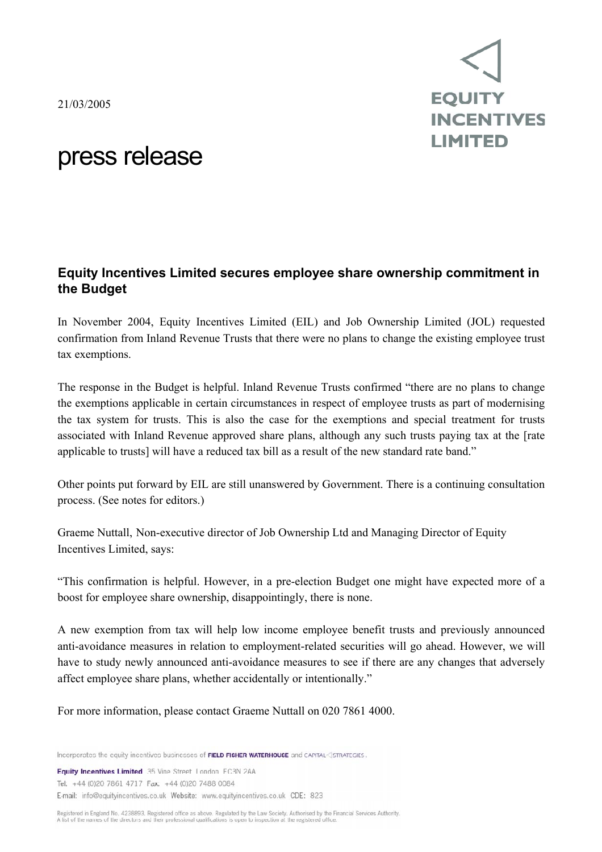21/03/2005



## press release

## **Equity Incentives Limited secures employee share ownership commitment in the Budget**

In November 2004, Equity Incentives Limited (EIL) and Job Ownership Limited (JOL) requested confirmation from Inland Revenue Trusts that there were no plans to change the existing employee trust tax exemptions.

The response in the Budget is helpful. Inland Revenue Trusts confirmed "there are no plans to change the exemptions applicable in certain circumstances in respect of employee trusts as part of modernising the tax system for trusts. This is also the case for the exemptions and special treatment for trusts associated with Inland Revenue approved share plans, although any such trusts paying tax at the [rate applicable to trusts] will have a reduced tax bill as a result of the new standard rate band."

Other points put forward by EIL are still unanswered by Government. There is a continuing consultation process. (See notes for editors.)

Graeme Nuttall, Non-executive director of Job Ownership Ltd and Managing Director of Equity Incentives Limited, says:

"This confirmation is helpful. However, in a pre-election Budget one might have expected more of a boost for employee share ownership, disappointingly, there is none.

A new exemption from tax will help low income employee benefit trusts and previously announced anti-avoidance measures in relation to employment-related securities will go ahead. However, we will have to study newly announced anti-avoidance measures to see if there are any changes that adversely affect employee share plans, whether accidentally or intentionally."

For more information, please contact Graeme Nuttall on 020 7861 4000.

Incorporates the equity incentives businesses of FIELD FISHER WATERHOUSE and CAPITAL<3TRATEGIES.

**Equity Incentives Limited** 35 Vine Street London EC3N 2AA Tel: +44 (0)20 7861 4717 Fax: +44 (0)20 7488 0084 E-mail: info@equityincentives.co.uk Website: www.equityincentives.co.uk CDE: 823